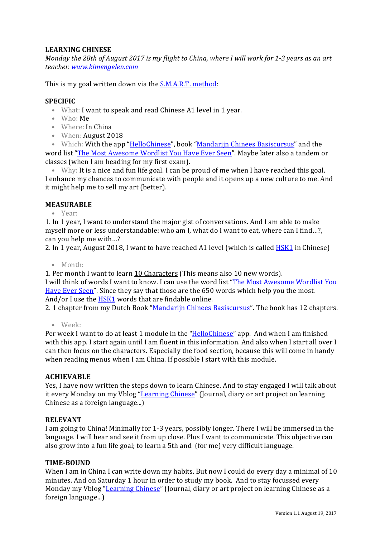## **LEARNING CHINESE**

*Monday* the 28th of August 2017 is my flight to China, where I will work for 1-3 years as an art *teacher. www.kimengelen.com*

This is my goal written down via the  $S.M.A.R.T.$  method:

## **SPECIFIC**

- What: I want to speak and read Chinese A1 level in 1 year.
- Who: Me
- Where: In China
- When: August 2018

• Which: With the app "HelloChinese", book "Mandarijn Chinees Basiscursus" and the word list "The Most Awesome Wordlist You Have Ever Seen". Maybe later also a tandem or classes (when I am heading for my first exam).

• Why: It is a nice and fun life goal. I can be proud of me when I have reached this goal. I enhance my chances to communicate with people and it opens up a new culture to me. And it might help me to sell my art (better).

## **MEASURABLE**

• Year:

1. In 1 year, I want to understand the major gist of conversations. And I am able to make myself more or less understandable: who am I, what do I want to eat, where can I find...?, can you help me with...?

2. In 1 year, August 2018, I want to have reached A1 level (which is called **HSK1** in Chinese)

• Month:

1. Per month I want to learn 10 Characters (This means also 10 new words).

I will think of words I want to know. I can use the word list "The Most Awesome Wordlist You Have Ever Seen". Since they say that those are the 650 words which help you the most. And/or I use the  $HSK1$  words that are findable online.

2. 1 chapter from my Dutch Book "Mandarijn Chinees Basiscursus". The book has 12 chapters.

• Week:

Per week I want to do at least 1 module in the "HelloChinese" app. And when I am finished with this app. I start again until I am fluent in this information. And also when I start all over I can then focus on the characters. Especially the food section, because this will come in handy when reading menus when I am China. If possible I start with this module.

#### **ACHIEVABLE**

Yes, I have now written the steps down to learn Chinese. And to stay engaged I will talk about it every Monday on my Vblog "Learning Chinese" (Journal, diary or art project on learning Chinese as a foreign language...)

#### **RELEVANT**

I am going to China! Minimally for 1-3 years, possibly longer. There I will be immersed in the language. I will hear and see it from up close. Plus I want to communicate. This objective can also grow into a fun life goal; to learn a 5th and (for me) very difficult language.

#### **TIME-BOUND**

When I am in China I can write down my habits. But now I could do every day a minimal of 10 minutes. And on Saturday 1 hour in order to study my book. And to stay focussed every Monday my Vblog "Learning Chinese" (Journal, diary or art project on learning Chinese as a foreign language...)